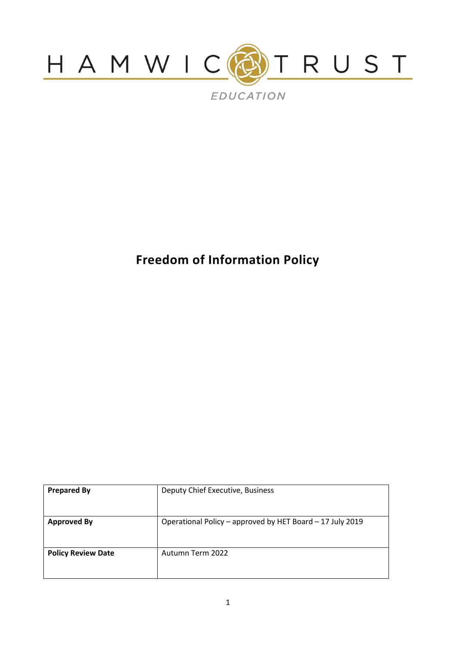

# **Freedom of Information Policy**

| <b>Prepared By</b>        | Deputy Chief Executive, Business                          |
|---------------------------|-----------------------------------------------------------|
| <b>Approved By</b>        | Operational Policy - approved by HET Board - 17 July 2019 |
| <b>Policy Review Date</b> | Autumn Term 2022                                          |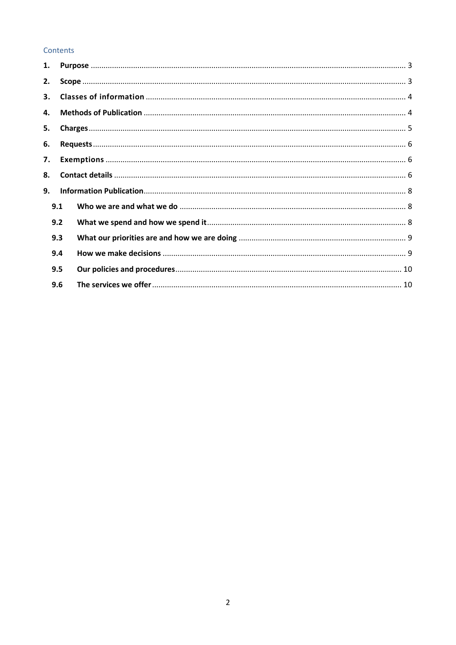## Contents

| 1.  |  |  |
|-----|--|--|
| 2.  |  |  |
| 3.  |  |  |
| 4.  |  |  |
| 5.  |  |  |
| 6.  |  |  |
| 7.  |  |  |
| 8.  |  |  |
| 9.  |  |  |
| 9.1 |  |  |
| 9.2 |  |  |
| 9.3 |  |  |
| 9.4 |  |  |
| 9.5 |  |  |
| 9.6 |  |  |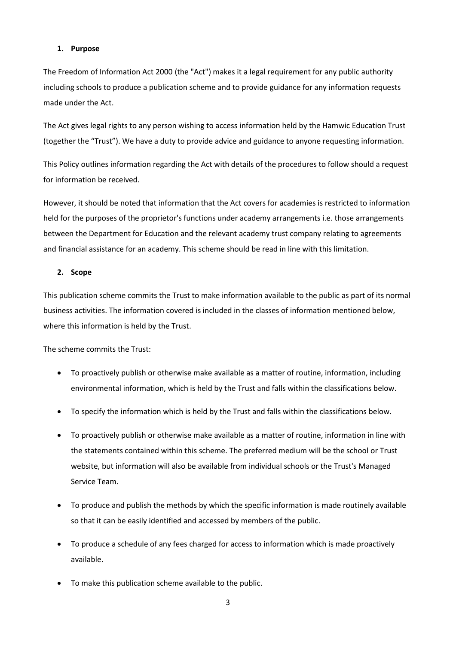#### <span id="page-2-0"></span>**1. Purpose**

The Freedom of Information Act 2000 (the "Act") makes it a legal requirement for any public authority including schools to produce a publication scheme and to provide guidance for any information requests made under the Act.

The Act gives legal rights to any person wishing to access information held by the Hamwic Education Trust (together the "Trust"). We have a duty to provide advice and guidance to anyone requesting information.

This Policy outlines information regarding the Act with details of the procedures to follow should a request for information be received.

However, it should be noted that information that the Act covers for academies is restricted to information held for the purposes of the proprietor's functions under academy arrangements i.e. those arrangements between the Department for Education and the relevant academy trust company relating to agreements and financial assistance for an academy. This scheme should be read in line with this limitation.

#### <span id="page-2-1"></span>**2. Scope**

This publication scheme commits the Trust to make information available to the public as part of its normal business activities. The information covered is included in the classes of information mentioned below, where this information is held by the Trust.

The scheme commits the Trust:

- To proactively publish or otherwise make available as a matter of routine, information, including environmental information, which is held by the Trust and falls within the classifications below.
- To specify the information which is held by the Trust and falls within the classifications below.
- To proactively publish or otherwise make available as a matter of routine, information in line with the statements contained within this scheme. The preferred medium will be the school or Trust website, but information will also be available from individual schools or the Trust's Managed Service Team.
- To produce and publish the methods by which the specific information is made routinely available so that it can be easily identified and accessed by members of the public.
- To produce a schedule of any fees charged for access to information which is made proactively available.
- To make this publication scheme available to the public.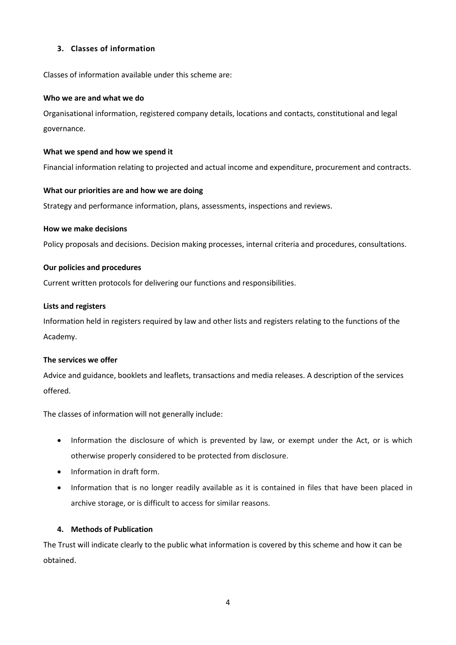## <span id="page-3-0"></span>**3. Classes of information**

Classes of information available under this scheme are:

#### **Who we are and what we do**

Organisational information, registered company details, locations and contacts, constitutional and legal governance.

#### **What we spend and how we spend it**

Financial information relating to projected and actual income and expenditure, procurement and contracts.

#### **What our priorities are and how we are doing**

Strategy and performance information, plans, assessments, inspections and reviews.

#### **How we make decisions**

Policy proposals and decisions. Decision making processes, internal criteria and procedures, consultations.

#### **Our policies and procedures**

Current written protocols for delivering our functions and responsibilities.

#### **Lists and registers**

Information held in registers required by law and other lists and registers relating to the functions of the Academy.

#### **The services we offer**

Advice and guidance, booklets and leaflets, transactions and media releases. A description of the services offered.

The classes of information will not generally include:

- Information the disclosure of which is prevented by law, or exempt under the Act, or is which otherwise properly considered to be protected from disclosure.
- Information in draft form.
- Information that is no longer readily available as it is contained in files that have been placed in archive storage, or is difficult to access for similar reasons.

#### <span id="page-3-1"></span>**4. Methods of Publication**

The Trust will indicate clearly to the public what information is covered by this scheme and how it can be obtained.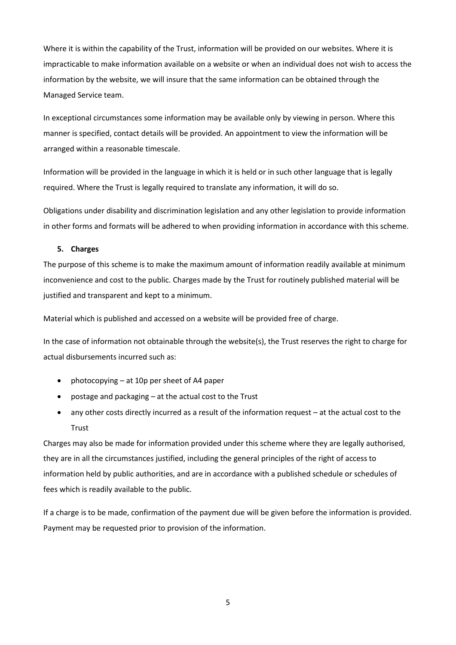Where it is within the capability of the Trust, information will be provided on our websites. Where it is impracticable to make information available on a website or when an individual does not wish to access the information by the website, we will insure that the same information can be obtained through the Managed Service team.

In exceptional circumstances some information may be available only by viewing in person. Where this manner is specified, contact details will be provided. An appointment to view the information will be arranged within a reasonable timescale.

Information will be provided in the language in which it is held or in such other language that is legally required. Where the Trust is legally required to translate any information, it will do so.

Obligations under disability and discrimination legislation and any other legislation to provide information in other forms and formats will be adhered to when providing information in accordance with this scheme.

#### <span id="page-4-0"></span>**5. Charges**

The purpose of this scheme is to make the maximum amount of information readily available at minimum inconvenience and cost to the public. Charges made by the Trust for routinely published material will be justified and transparent and kept to a minimum.

Material which is published and accessed on a website will be provided free of charge.

In the case of information not obtainable through the website(s), the Trust reserves the right to charge for actual disbursements incurred such as:

- photocopying at 10p per sheet of A4 paper
- postage and packaging at the actual cost to the Trust
- any other costs directly incurred as a result of the information request at the actual cost to the **Trust**

Charges may also be made for information provided under this scheme where they are legally authorised, they are in all the circumstances justified, including the general principles of the right of access to information held by public authorities, and are in accordance with a published schedule or schedules of fees which is readily available to the public.

If a charge is to be made, confirmation of the payment due will be given before the information is provided. Payment may be requested prior to provision of the information.

5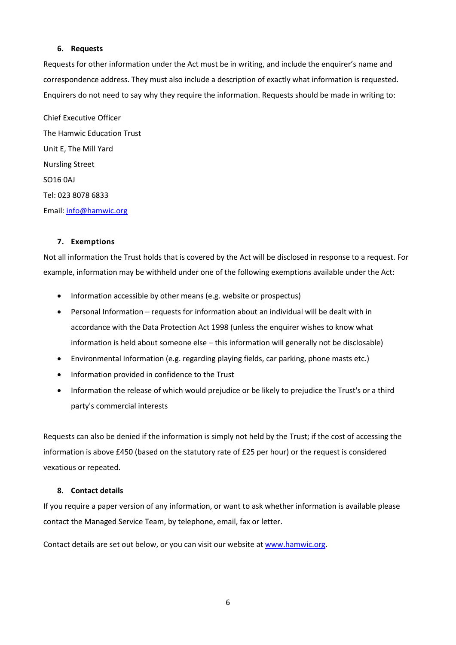#### <span id="page-5-0"></span>**6. Requests**

Requests for other information under the Act must be in writing, and include the enquirer's name and correspondence address. They must also include a description of exactly what information is requested. Enquirers do not need to say why they require the information. Requests should be made in writing to:

Chief Executive Officer The Hamwic Education Trust Unit E, The Mill Yard Nursling Street SO16 0AJ Tel: 023 8078 6833 Email[: info@hamwic.org](mailto:info@hamwic.org)

#### <span id="page-5-1"></span>**7. Exemptions**

Not all information the Trust holds that is covered by the Act will be disclosed in response to a request. For example, information may be withheld under one of the following exemptions available under the Act:

- Information accessible by other means (e.g. website or prospectus)
- Personal Information requests for information about an individual will be dealt with in accordance with the Data Protection Act 1998 (unless the enquirer wishes to know what information is held about someone else – this information will generally not be disclosable)
- Environmental Information (e.g. regarding playing fields, car parking, phone masts etc.)
- Information provided in confidence to the Trust
- Information the release of which would prejudice or be likely to prejudice the Trust's or a third party's commercial interests

Requests can also be denied if the information is simply not held by the Trust; if the cost of accessing the information is above £450 (based on the statutory rate of £25 per hour) or the request is considered vexatious or repeated.

## <span id="page-5-2"></span>**8. Contact details**

If you require a paper version of any information, or want to ask whether information is available please contact the Managed Service Team, by telephone, email, fax or letter.

Contact details are set out below, or you can visit our website at [www.hamwic.org.](http://www.hamwic.org/)

6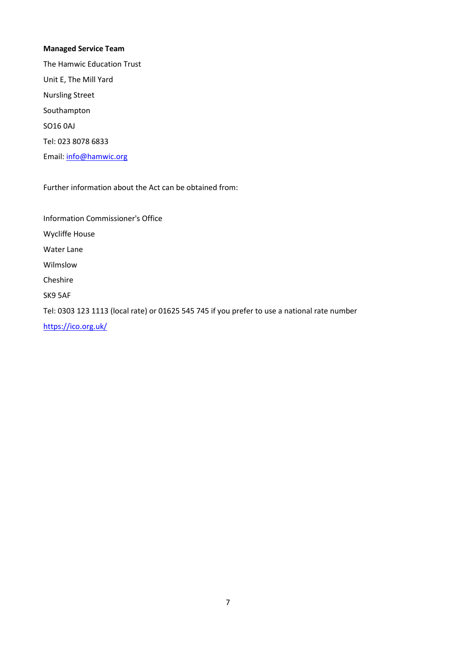## **Managed Service Team**

The Hamwic Education Trust Unit E, The Mill Yard Nursling Street Southampton SO16 0AJ Tel: 023 8078 6833 Email[: info@hamwic.org](mailto:info@hamwic.org)

Further information about the Act can be obtained from:

Information Commissioner's Office Wycliffe House Water Lane Wilmslow Cheshire SK9 5AF Tel: 0303 123 1113 (local rate) or 01625 545 745 if you prefer to use a national rate number <https://ico.org.uk/>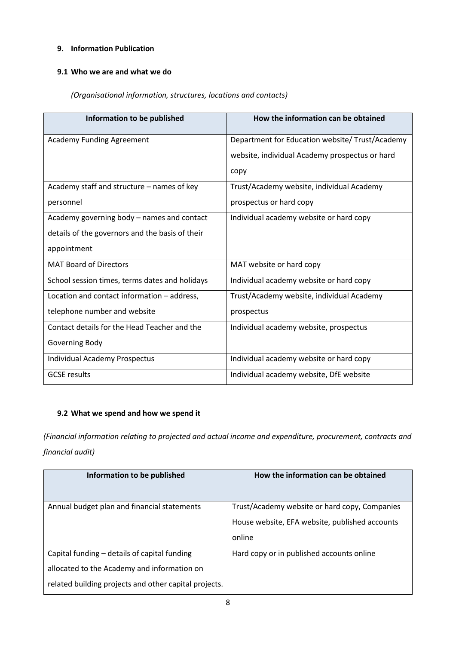# <span id="page-7-0"></span>**9. Information Publication**

# <span id="page-7-1"></span>**9.1 Who we are and what we do**

# *(Organisational information, structures, locations and contacts)*

| Information to be published                     | How the information can be obtained             |
|-------------------------------------------------|-------------------------------------------------|
| <b>Academy Funding Agreement</b>                | Department for Education website/ Trust/Academy |
|                                                 | website, individual Academy prospectus or hard  |
|                                                 | copy                                            |
| Academy staff and structure - names of key      | Trust/Academy website, individual Academy       |
| personnel                                       | prospectus or hard copy                         |
| Academy governing body – names and contact      | Individual academy website or hard copy         |
| details of the governors and the basis of their |                                                 |
| appointment                                     |                                                 |
| <b>MAT Board of Directors</b>                   | MAT website or hard copy                        |
| School session times, terms dates and holidays  | Individual academy website or hard copy         |
| Location and contact information - address,     | Trust/Academy website, individual Academy       |
| telephone number and website                    | prospectus                                      |
| Contact details for the Head Teacher and the    | Individual academy website, prospectus          |
| Governing Body                                  |                                                 |
| <b>Individual Academy Prospectus</b>            | Individual academy website or hard copy         |
| <b>GCSE</b> results                             | Individual academy website, DfE website         |

# <span id="page-7-2"></span>**9.2 What we spend and how we spend it**

*(Financial information relating to projected and actual income and expenditure, procurement, contracts and financial audit)*

| Information to be published                           | How the information can be obtained            |
|-------------------------------------------------------|------------------------------------------------|
| Annual budget plan and financial statements           | Trust/Academy website or hard copy, Companies  |
|                                                       | House website, EFA website, published accounts |
|                                                       | online                                         |
| Capital funding – details of capital funding          | Hard copy or in published accounts online      |
| allocated to the Academy and information on           |                                                |
| related building projects and other capital projects. |                                                |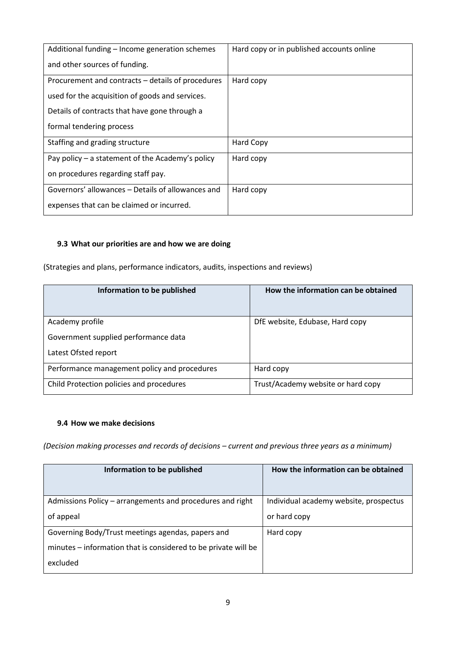| Additional funding - Income generation schemes    | Hard copy or in published accounts online |
|---------------------------------------------------|-------------------------------------------|
| and other sources of funding.                     |                                           |
| Procurement and contracts – details of procedures | Hard copy                                 |
| used for the acquisition of goods and services.   |                                           |
| Details of contracts that have gone through a     |                                           |
| formal tendering process                          |                                           |
| Staffing and grading structure                    | Hard Copy                                 |
| Pay policy – a statement of the Academy's policy  | Hard copy                                 |
| on procedures regarding staff pay.                |                                           |
| Governors' allowances – Details of allowances and | Hard copy                                 |
| expenses that can be claimed or incurred.         |                                           |

# <span id="page-8-0"></span>**9.3 What our priorities are and how we are doing**

(Strategies and plans, performance indicators, audits, inspections and reviews)

| Information to be published                  | How the information can be obtained |
|----------------------------------------------|-------------------------------------|
| Academy profile                              | DfE website, Edubase, Hard copy     |
| Government supplied performance data         |                                     |
| Latest Ofsted report                         |                                     |
| Performance management policy and procedures | Hard copy                           |
| Child Protection policies and procedures     | Trust/Academy website or hard copy  |

## <span id="page-8-1"></span>**9.4 How we make decisions**

*(Decision making processes and records of decisions – current and previous three years as a minimum)*

| Information to be published                                    | How the information can be obtained    |
|----------------------------------------------------------------|----------------------------------------|
| Admissions Policy – arrangements and procedures and right      | Individual academy website, prospectus |
| of appeal                                                      | or hard copy                           |
| Governing Body/Trust meetings agendas, papers and              | Hard copy                              |
| minutes – information that is considered to be private will be |                                        |
| excluded                                                       |                                        |